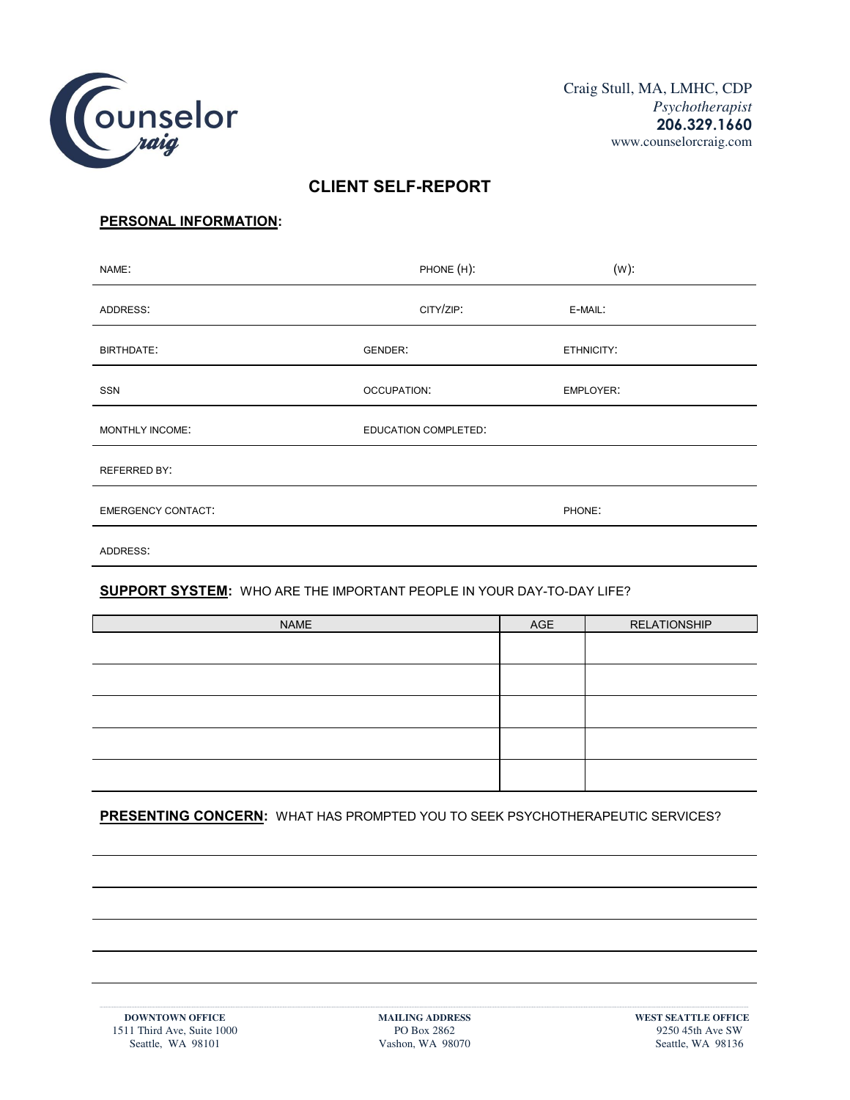

# **CLIENT SELF-REPORT**

# **PERSONAL INFORMATION:**

| NAME:                     | PHONE (H):           | $(W)$ :          |
|---------------------------|----------------------|------------------|
| ADDRESS:                  | CITY/ZIP:            | E-MAIL:          |
| <b>BIRTHDATE:</b>         | GENDER:              | ETHNICITY:       |
| SSN                       | OCCUPATION:          | <b>EMPLOYER:</b> |
| MONTHLY INCOME:           | EDUCATION COMPLETED: |                  |
| <b>REFERRED BY:</b>       |                      |                  |
| <b>EMERGENCY CONTACT:</b> |                      | PHONE:           |
| ADDRESS:                  |                      |                  |

# **SUPPORT SYSTEM:** WHO ARE THE IMPORTANT PEOPLE IN YOUR DAY-TO-DAY LIFE?

| <b>NAME</b> | AGE | <b>RELATIONSHIP</b> |
|-------------|-----|---------------------|
|             |     |                     |
|             |     |                     |
|             |     |                     |
|             |     |                     |
|             |     |                     |

# **PRESENTING CONCERN:** WHAT HAS PROMPTED YOU TO SEEK PSYCHOTHERAPEUTIC SERVICES?

**·······································································································································································································································································································································································································································································································**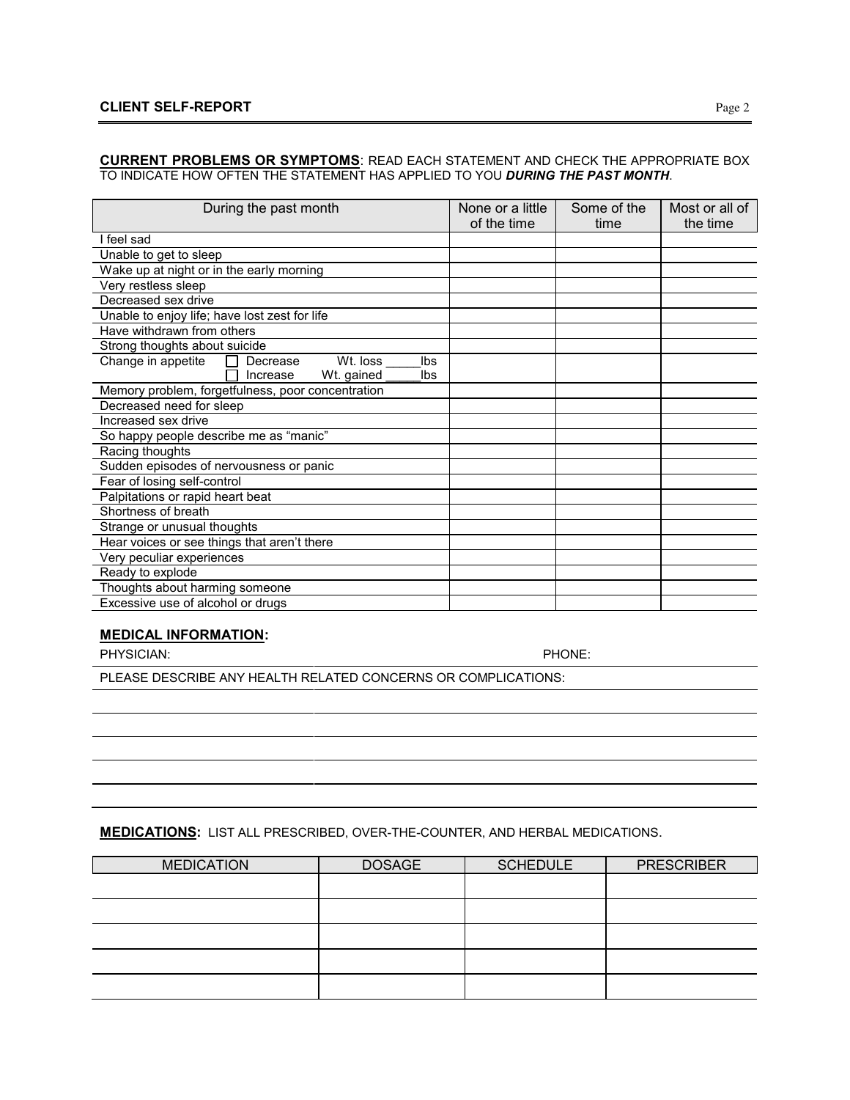#### **CURRENT PROBLEMS OR SYMPTOMS**: READ EACH STATEMENT AND CHECK THE APPROPRIATE BOX TO INDICATE HOW OFTEN THE STATEMENT HAS APPLIED TO YOU *DURING THE PAST MONTH*.

| During the past month                             | None or a little<br>of the time | Some of the<br>time | Most or all of<br>the time |
|---------------------------------------------------|---------------------------------|---------------------|----------------------------|
| feel sad                                          |                                 |                     |                            |
| Unable to get to sleep                            |                                 |                     |                            |
| Wake up at night or in the early morning          |                                 |                     |                            |
| Very restless sleep                               |                                 |                     |                            |
| Decreased sex drive                               |                                 |                     |                            |
| Unable to enjoy life; have lost zest for life     |                                 |                     |                            |
| Have withdrawn from others                        |                                 |                     |                            |
| Strong thoughts about suicide                     |                                 |                     |                            |
| Change in appetite<br>Decrease<br>Wt. loss<br>Ibs |                                 |                     |                            |
| Ibs<br>Wt. gained<br>Increase                     |                                 |                     |                            |
| Memory problem, forgetfulness, poor concentration |                                 |                     |                            |
| Decreased need for sleep                          |                                 |                     |                            |
| Increased sex drive                               |                                 |                     |                            |
| So happy people describe me as "manic"            |                                 |                     |                            |
| Racing thoughts                                   |                                 |                     |                            |
| Sudden episodes of nervousness or panic           |                                 |                     |                            |
| Fear of losing self-control                       |                                 |                     |                            |
| Palpitations or rapid heart beat                  |                                 |                     |                            |
| Shortness of breath                               |                                 |                     |                            |
| Strange or unusual thoughts                       |                                 |                     |                            |
| Hear voices or see things that aren't there       |                                 |                     |                            |
| Very peculiar experiences                         |                                 |                     |                            |
| Ready to explode                                  |                                 |                     |                            |
| Thoughts about harming someone                    |                                 |                     |                            |
| Excessive use of alcohol or drugs                 |                                 |                     |                            |

## **MEDICAL INFORMATION:**

PHYSICIAN: PHONE:

PLEASE DESCRIBE ANY HEALTH RELATED CONCERNS OR COMPLICATIONS:

#### **MEDICATIONS:** LIST ALL PRESCRIBED, OVER-THE-COUNTER, AND HERBAL MEDICATIONS.

| <b>MEDICATION</b> | <b>DOSAGE</b> | <b>SCHEDULE</b> | <b>PRESCRIBER</b> |
|-------------------|---------------|-----------------|-------------------|
|                   |               |                 |                   |
|                   |               |                 |                   |
|                   |               |                 |                   |
|                   |               |                 |                   |
|                   |               |                 |                   |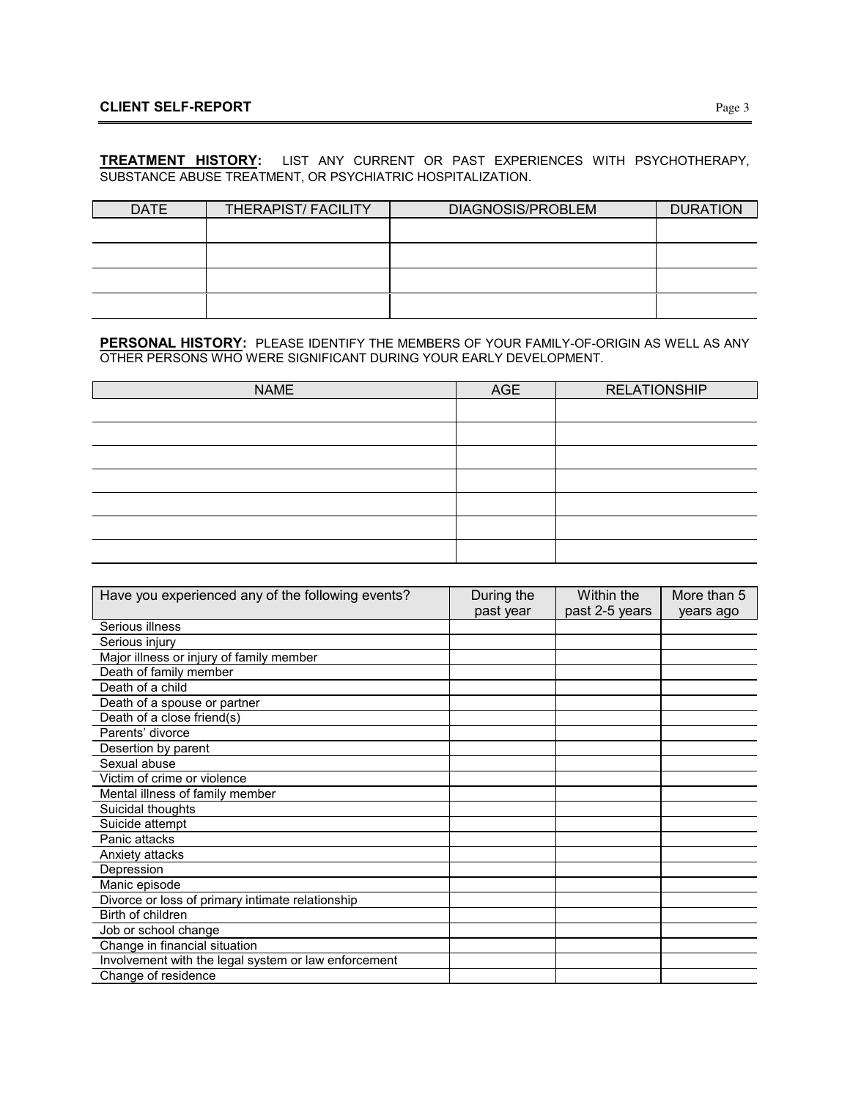## **CLIENT SELF-REPORT** Page 3

## **TREATMENT HISTORY:** LIST ANY CURRENT OR PAST EXPERIENCES WITH PSYCHOTHERAPY, SUBSTANCE ABUSE TREATMENT, OR PSYCHIATRIC HOSPITALIZATION.

| <b>DATE</b> | <b>THERAPIST/FACILITY</b> | DIAGNOSIS/PROBLEM | <b>DURATION</b> |
|-------------|---------------------------|-------------------|-----------------|
|             |                           |                   |                 |
|             |                           |                   |                 |
|             |                           |                   |                 |
|             |                           |                   |                 |

**PERSONAL HISTORY:** PLEASE IDENTIFY THE MEMBERS OF YOUR FAMILY-OF-ORIGIN AS WELL AS ANY OTHER PERSONS WHO WERE SIGNIFICANT DURING YOUR EARLY DEVELOPMENT.

| <b>NAME</b> | AGE | <b>RELATIONSHIP</b> |
|-------------|-----|---------------------|
|             |     |                     |
|             |     |                     |
|             |     |                     |
|             |     |                     |
|             |     |                     |
|             |     |                     |
|             |     |                     |

| Have you experienced any of the following events?    | During the | Within the     | More than 5 |
|------------------------------------------------------|------------|----------------|-------------|
|                                                      | past year  | past 2-5 years | years ago   |
| Serious illness                                      |            |                |             |
| Serious injury                                       |            |                |             |
| Major illness or injury of family member             |            |                |             |
| Death of family member                               |            |                |             |
| Death of a child                                     |            |                |             |
| Death of a spouse or partner                         |            |                |             |
| Death of a close friend(s)                           |            |                |             |
| Parents' divorce                                     |            |                |             |
| Desertion by parent                                  |            |                |             |
| Sexual abuse                                         |            |                |             |
| Victim of crime or violence                          |            |                |             |
| Mental illness of family member                      |            |                |             |
| Suicidal thoughts                                    |            |                |             |
| Suicide attempt                                      |            |                |             |
| Panic attacks                                        |            |                |             |
| Anxiety attacks                                      |            |                |             |
| Depression                                           |            |                |             |
| Manic episode                                        |            |                |             |
| Divorce or loss of primary intimate relationship     |            |                |             |
| Birth of children                                    |            |                |             |
| Job or school change                                 |            |                |             |
| Change in financial situation                        |            |                |             |
| Involvement with the legal system or law enforcement |            |                |             |
| Change of residence                                  |            |                |             |